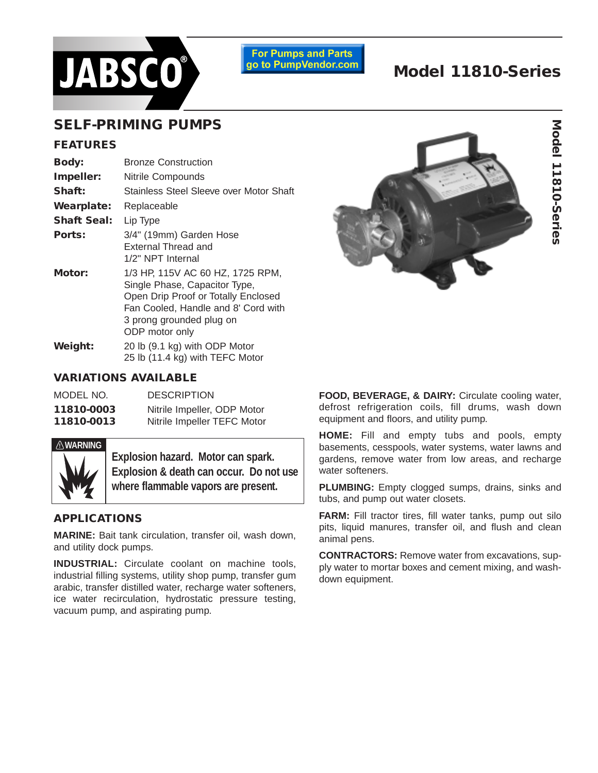

**For Pumps and Parts** go to PumpVendor.com

# **Model 11810-Series**

## **SELF-PRIMING PUMPS**

#### **FEATURES**

| <b>Body:</b>       | <b>Bronze Construction</b>                                                                                                                                                                    |  |  |  |
|--------------------|-----------------------------------------------------------------------------------------------------------------------------------------------------------------------------------------------|--|--|--|
| Impeller:          | <b>Nitrile Compounds</b>                                                                                                                                                                      |  |  |  |
| Shaft:             | Stainless Steel Sleeve over Motor Shaft                                                                                                                                                       |  |  |  |
| <b>Wearplate:</b>  | Replaceable                                                                                                                                                                                   |  |  |  |
| <b>Shaft Seal:</b> | Lip Type                                                                                                                                                                                      |  |  |  |
| Ports:             | 3/4" (19mm) Garden Hose<br>External Thread and<br>1/2" NPT Internal                                                                                                                           |  |  |  |
| Motor:             | 1/3 HP, 115V AC 60 HZ, 1725 RPM,<br>Single Phase, Capacitor Type,<br>Open Drip Proof or Totally Enclosed<br>Fan Cooled, Handle and 8' Cord with<br>3 prong grounded plug on<br>ODP motor only |  |  |  |
| Weight:            | 20 lb (9.1 kg) with ODP Motor<br>25 lb (11.4 kg) with TEFC Motor                                                                                                                              |  |  |  |

## **VARIATIONS AVAILABLE**

| MODEL NO.  | <b>DESCRIPTION</b>          |
|------------|-----------------------------|
| 11810-0003 | Nitrile Impeller, ODP Motor |
| 11810-0013 | Nitrile Impeller TEFC Motor |



**Explosion hazard. Motor can spark. Explosion & death can occur. Do not use where flammable vapors are present.**

## **APPLICATIONS**

**MARINE:** Bait tank circulation, transfer oil, wash down, and utility dock pumps.

**INDUSTRIAL:** Circulate coolant on machine tools, industrial filling systems, utility shop pump, transfer gum arabic, transfer distilled water, recharge water softeners, ice water recirculation, hydrostatic pressure testing, vacuum pump, and aspirating pump.



**FOOD, BEVERAGE, & DAIRY:** Circulate cooling water, defrost refrigeration coils, fill drums, wash down equipment and floors, and utility pump.

**HOME:** Fill and empty tubs and pools, empty basements, cesspools, water systems, water lawns and gardens, remove water from low areas, and recharge water softeners.

**PLUMBING:** Empty clogged sumps, drains, sinks and tubs, and pump out water closets.

**FARM:** Fill tractor tires, fill water tanks, pump out silo pits, liquid manures, transfer oil, and flush and clean animal pens.

**CONTRACTORS:** Remove water from excavations, supply water to mortar boxes and cement mixing, and washdown equipment.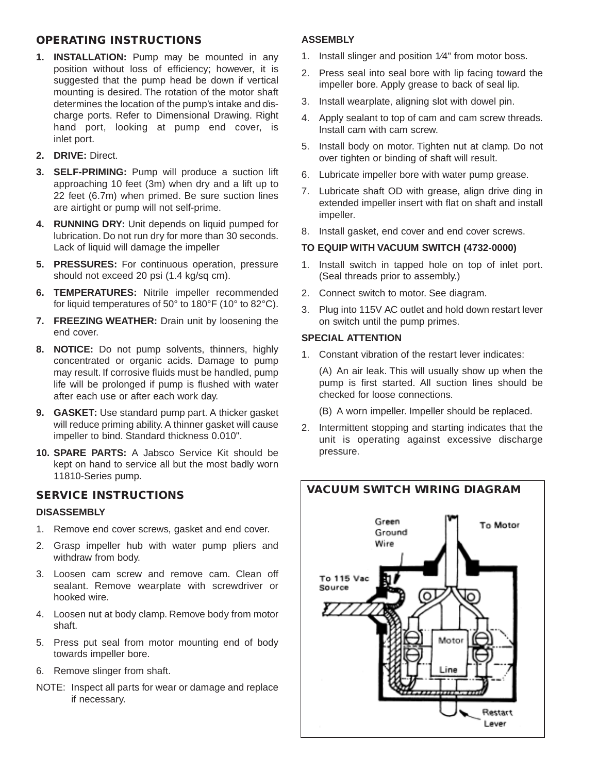## **OPERATING INSTRUCTIONS**

- **1. INSTALLATION:** Pump may be mounted in any position without loss of efficiency; however, it is suggested that the pump head be down if vertical mounting is desired. The rotation of the motor shaft determines the location of the pump's intake and discharge ports. Refer to Dimensional Drawing. Right hand port, looking at pump end cover, is inlet port.
- **2. DRIVE:** Direct.
- **3. SELF-PRIMING:** Pump will produce a suction lift approaching 10 feet (3m) when dry and a lift up to 22 feet (6.7m) when primed. Be sure suction lines are airtight or pump will not self-prime.
- **4. RUNNING DRY:** Unit depends on liquid pumped for lubrication. Do not run dry for more than 30 seconds. Lack of liquid will damage the impeller
- **5. PRESSURES:** For continuous operation, pressure should not exceed 20 psi (1.4 kg/sq cm).
- **6. TEMPERATURES:** Nitrile impeller recommended for liquid temperatures of 50° to 180°F (10° to 82°C).
- **7. FREEZING WEATHER:** Drain unit by loosening the end cover.
- **8. NOTICE:** Do not pump solvents, thinners, highly concentrated or organic acids. Damage to pump may result. If corrosive fluids must be handled, pump life will be prolonged if pump is flushed with water after each use or after each work day.
- **9. GASKET:** Use standard pump part. A thicker gasket will reduce priming ability. A thinner gasket will cause impeller to bind. Standard thickness 0.010".
- **10. SPARE PARTS:** A Jabsco Service Kit should be kept on hand to service all but the most badly worn 11810-Series pump.

## **SERVICE INSTRUCTIONS**

## **DISASSEMBLY**

- 1. Remove end cover screws, gasket and end cover.
- 2. Grasp impeller hub with water pump pliers and withdraw from body.
- 3. Loosen cam screw and remove cam. Clean off sealant. Remove wearplate with screwdriver or hooked wire.
- 4. Loosen nut at body clamp. Remove body from motor shaft.
- 5. Press put seal from motor mounting end of body towards impeller bore.
- 6. Remove slinger from shaft.
- NOTE: Inspect all parts for wear or damage and replace if necessary.

## **ASSEMBLY**

- 1. Install slinger and position 1⁄4" from motor boss.
- 2. Press seal into seal bore with lip facing toward the impeller bore. Apply grease to back of seal lip.
- 3. Install wearplate, aligning slot with dowel pin.
- 4. Apply sealant to top of cam and cam screw threads. Install cam with cam screw.
- 5. Install body on motor. Tighten nut at clamp. Do not over tighten or binding of shaft will result.
- 6. Lubricate impeller bore with water pump grease.
- 7. Lubricate shaft OD with grease, align drive ding in extended impeller insert with flat on shaft and install impeller.
- 8. Install gasket, end cover and end cover screws.

## **TO EQUIP WITH VACUUM SWITCH (4732-0000)**

- 1. Install switch in tapped hole on top of inlet port. (Seal threads prior to assembly.)
- 2. Connect switch to motor. See diagram.
- 3. Plug into 115V AC outlet and hold down restart lever on switch until the pump primes.

#### **SPECIAL ATTENTION**

1. Constant vibration of the restart lever indicates:

(A) An air leak. This will usually show up when the pump is first started. All suction lines should be checked for loose connections.

(B) A worn impeller. Impeller should be replaced.

2. Intermittent stopping and starting indicates that the unit is operating against excessive discharge pressure.

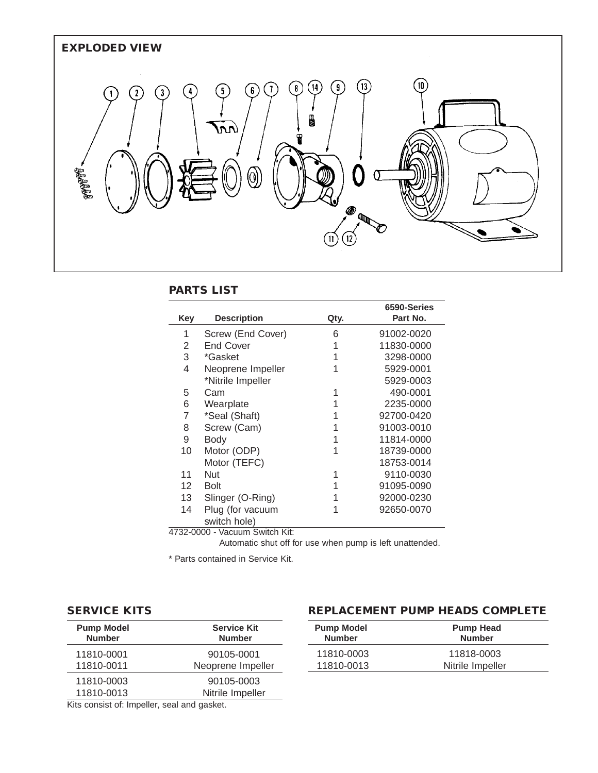

## **PARTS LIST**

| Key             | <b>Description</b>               | Qty. | 6590-Series<br>Part No. |  |
|-----------------|----------------------------------|------|-------------------------|--|
| 1               | Screw (End Cover)                | 6    | 91002-0020              |  |
| 2               | <b>End Cover</b>                 | 1    | 11830-0000              |  |
| 3               | *Gasket                          |      | 3298-0000               |  |
| 4               | Neoprene Impeller                | 1    | 5929-0001               |  |
|                 | *Nitrile Impeller                |      | 5929-0003               |  |
| 5               | Cam                              | 1    | 490-0001                |  |
| 6               | Wearplate                        | 1    | 2235-0000               |  |
| 7               | *Seal (Shaft)                    | 1    | 92700-0420              |  |
| 8               | Screw (Cam)                      | 1    | 91003-0010              |  |
| 9               | <b>Body</b>                      | 1    | 11814-0000              |  |
| 10              | Motor (ODP)                      | 1    | 18739-0000              |  |
|                 | Motor (TEFC)                     |      | 18753-0014              |  |
| 11              | <b>Nut</b>                       | 1    | 9110-0030               |  |
| 12 <sup>2</sup> | <b>Bolt</b>                      | 1    | 91095-0090              |  |
| 13              | Slinger (O-Ring)<br>1            |      | 92000-0230              |  |
| 14              | Plug (for vacuum                 | 1    | 92650-0070              |  |
| switch hole)    |                                  |      |                         |  |
|                 | $1722$ $0000 \frac{1}{2}$ $1221$ |      |                         |  |

4732-0000 - Vacuum Switch Kit:

Automatic shut off for use when pump is left unattended.

\* Parts contained in Service Kit.

## **SERVICE KITS**

| <b>Pump Model</b> | <b>Service Kit</b> |  |  |
|-------------------|--------------------|--|--|
| <b>Number</b>     | <b>Number</b>      |  |  |
| 11810-0001        | 90105-0001         |  |  |
| 11810-0011        | Neoprene Impeller  |  |  |
| 11810-0003        | 90105-0003         |  |  |
| 11810-0013        | Nitrile Impeller   |  |  |

## **REPLACEMENT PUMP HEADS COMPLETE**

| <b>Pump Model</b><br><b>Number</b> | <b>Pump Head</b><br><b>Number</b> |  |  |
|------------------------------------|-----------------------------------|--|--|
| 11810-0003                         | 11818-0003                        |  |  |
| 11810-0013                         | Nitrile Impeller                  |  |  |

Kits consist of: Impeller, seal and gasket.